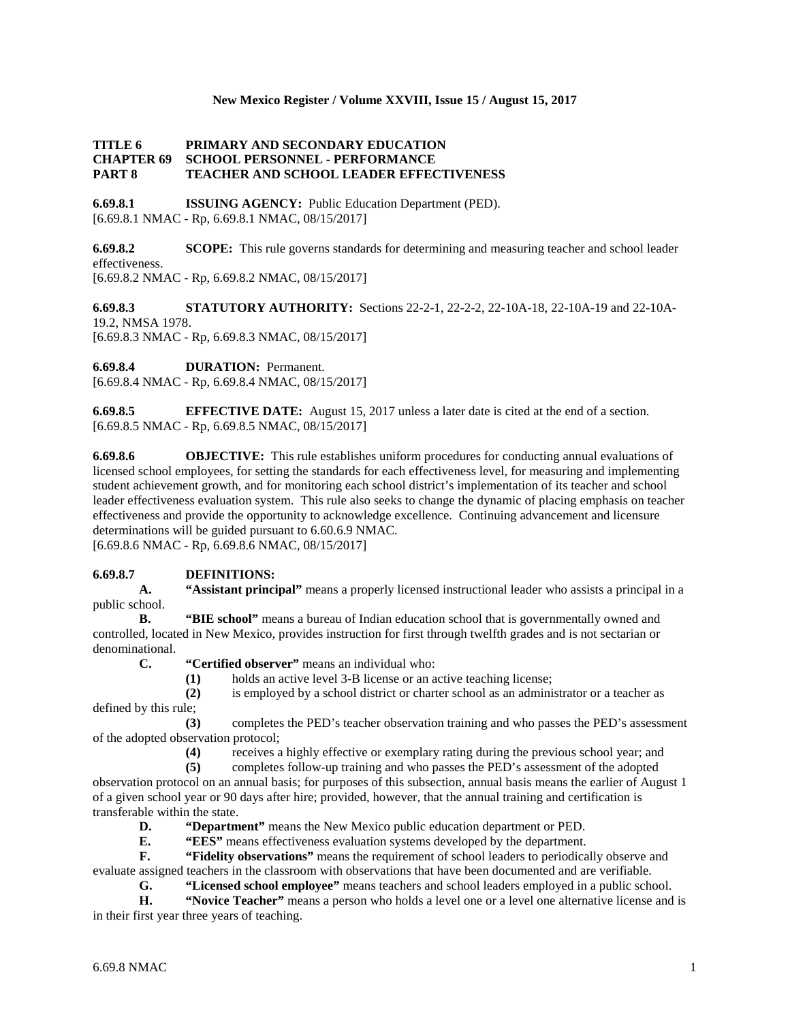#### **New Mexico Register / Volume XXVIII, Issue 15 / August 15, 2017**

#### **TITLE 6 PRIMARY AND SECONDARY EDUCATION CHAPTER 69 SCHOOL PERSONNEL - PERFORMANCE PART 8 TEACHER AND SCHOOL LEADER EFFECTIVENESS**

**6.69.8.1 ISSUING AGENCY:** Public Education Department (PED). [6.69.8.1 NMAC - Rp, 6.69.8.1 NMAC, 08/15/2017]

**6.69.8.2 SCOPE:** This rule governs standards for determining and measuring teacher and school leader effectiveness. [6.69.8.2 NMAC - Rp, 6.69.8.2 NMAC, 08/15/2017]

**6.69.8.3 STATUTORY AUTHORITY:** Sections 22-2-1, 22-2-2, 22-10A-18, 22-10A-19 and 22-10A-19.2, NMSA 1978. [6.69.8.3 NMAC - Rp, 6.69.8.3 NMAC, 08/15/2017]

**6.69.8.4 DURATION:** Permanent.

[6.69.8.4 NMAC - Rp, 6.69.8.4 NMAC, 08/15/2017]

**6.69.8.5 EFFECTIVE DATE:** August 15, 2017 unless a later date is cited at the end of a section. [6.69.8.5 NMAC - Rp, 6.69.8.5 NMAC, 08/15/2017]

**6.69.8.6 OBJECTIVE:** This rule establishes uniform procedures for conducting annual evaluations of licensed school employees, for setting the standards for each effectiveness level, for measuring and implementing student achievement growth, and for monitoring each school district's implementation of its teacher and school leader effectiveness evaluation system. This rule also seeks to change the dynamic of placing emphasis on teacher effectiveness and provide the opportunity to acknowledge excellence. Continuing advancement and licensure determinations will be guided pursuant to 6.60.6.9 NMAC.

[6.69.8.6 NMAC - Rp, 6.69.8.6 NMAC, 08/15/2017]

# **6.69.8.7 DEFINITIONS:**

**A. "Assistant principal"** means a properly licensed instructional leader who assists a principal in a public school.

**B. "BIE school"** means a bureau of Indian education school that is governmentally owned and controlled, located in New Mexico, provides instruction for first through twelfth grades and is not sectarian or denominational.

**C. "Certified observer"** means an individual who:

**(1)** holds an active level 3-B license or an active teaching license;

**(2)** is employed by a school district or charter school as an administrator or a teacher as defined by this rule;

**(3)** completes the PED's teacher observation training and who passes the PED's assessment of the adopted observation protocol;

**(4)** receives a highly effective or exemplary rating during the previous school year; and

**(5)** completes follow-up training and who passes the PED's assessment of the adopted observation protocol on an annual basis; for purposes of this subsection, annual basis means the earlier of August 1 of a given school year or 90 days after hire; provided, however, that the annual training and certification is transferable within the state.

**D. "Department"** means the New Mexico public education department or PED.

**E. "EES"** means effectiveness evaluation systems developed by the department.

**F. "Fidelity observations"** means the requirement of school leaders to periodically observe and evaluate assigned teachers in the classroom with observations that have been documented and are verifiable.

**G. "Licensed school employee"** means teachers and school leaders employed in a public school.<br>**H. "Novice Teacher"** means a person who holds a level one or a level one alternative license and **H. "Novice Teacher"** means a person who holds a level one or a level one alternative license and is in their first year three years of teaching.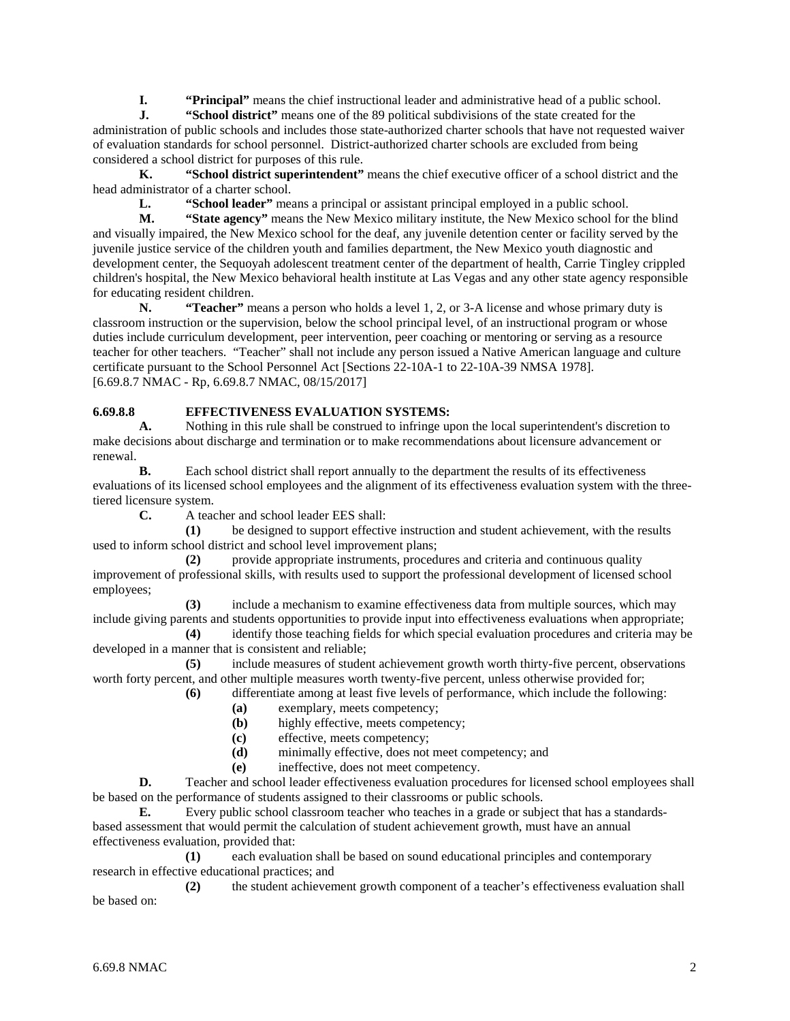**I. "Principal"** means the chief instructional leader and administrative head of a public school.<br>**I. "School district"** means one of the 89 political subdivisions of the state created for the

**J. "School district"** means one of the 89 political subdivisions of the state created for the administration of public schools and includes those state-authorized charter schools that have not requested waiver of evaluation standards for school personnel. District-authorized charter schools are excluded from being considered a school district for purposes of this rule.

**K. "School district superintendent"** means the chief executive officer of a school district and the head administrator of a charter school.

**L. "School leader"** means a principal or assistant principal employed in a public school.

**M. "State agency"** means the New Mexico military institute, the New Mexico school for the blind and visually impaired, the New Mexico school for the deaf, any juvenile detention center or facility served by the juvenile justice service of the children youth and families department, the New Mexico youth diagnostic and development center, the Sequoyah adolescent treatment center of the department of health, Carrie Tingley crippled children's hospital, the New Mexico behavioral health institute at Las Vegas and any other state agency responsible for educating resident children.<br>N. "Teacher" m

**"Teacher"** means a person who holds a level 1, 2, or 3-A license and whose primary duty is classroom instruction or the supervision, below the school principal level, of an instructional program or whose duties include curriculum development, peer intervention, peer coaching or mentoring or serving as a resource teacher for other teachers. "Teacher" shall not include any person issued a Native American language and culture certificate pursuant to the School Personnel Act [Sections 22-10A-1 to 22-10A-39 NMSA 1978]. [6.69.8.7 NMAC - Rp, 6.69.8.7 NMAC, 08/15/2017]

# **6.69.8.8 EFFECTIVENESS EVALUATION SYSTEMS:**<br>**A.** Nothing in this rule shall be construed to infringe un

**A.** Nothing in this rule shall be construed to infringe upon the local superintendent's discretion to make decisions about discharge and termination or to make recommendations about licensure advancement or renewal.

**B.** Each school district shall report annually to the department the results of its effectiveness evaluations of its licensed school employees and the alignment of its effectiveness evaluation system with the threetiered licensure system.

**C.** A teacher and school leader EES shall:

**(1)** be designed to support effective instruction and student achievement, with the results used to inform school district and school level improvement plans;

**(2)** provide appropriate instruments, procedures and criteria and continuous quality improvement of professional skills, with results used to support the professional development of licensed school employees;

**(3)** include a mechanism to examine effectiveness data from multiple sources, which may include giving parents and students opportunities to provide input into effectiveness evaluations when appropriate;

**(4)** identify those teaching fields for which special evaluation procedures and criteria may be developed in a manner that is consistent and reliable;

**(5)** include measures of student achievement growth worth thirty-five percent, observations worth forty percent, and other multiple measures worth twenty-five percent, unless otherwise provided for;

**(6)** differentiate among at least five levels of performance, which include the following:

- **(a)** exemplary, meets competency;
- **(b)** highly effective, meets competency;
- **(c)** effective, meets competency;
- **(d)** minimally effective, does not meet competency; and
- **(e)** ineffective, does not meet competency.

**D.** Teacher and school leader effectiveness evaluation procedures for licensed school employees shall be based on the performance of students assigned to their classrooms or public schools.

**E.** Every public school classroom teacher who teaches in a grade or subject that has a standardsbased assessment that would permit the calculation of student achievement growth, must have an annual effectiveness evaluation, provided that:

**(1)** each evaluation shall be based on sound educational principles and contemporary research in effective educational practices; and

**(2)** the student achievement growth component of a teacher's effectiveness evaluation shall be based on: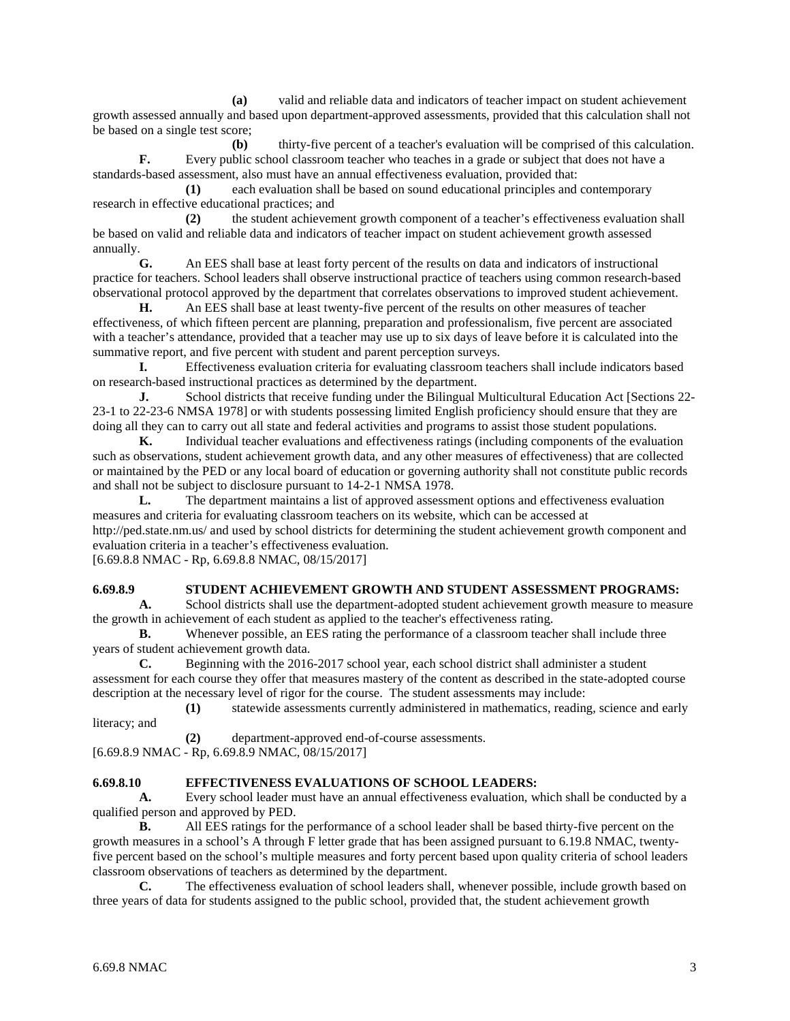**(a)** valid and reliable data and indicators of teacher impact on student achievement growth assessed annually and based upon department-approved assessments, provided that this calculation shall not be based on a single test score;

**(b)** thirty-five percent of a teacher's evaluation will be comprised of this calculation. **F.** Every public school classroom teacher who teaches in a grade or subject that does not have a standards-based assessment, also must have an annual effectiveness evaluation, provided that:

**(1)** each evaluation shall be based on sound educational principles and contemporary research in effective educational practices; and

**(2)** the student achievement growth component of a teacher's effectiveness evaluation shall be based on valid and reliable data and indicators of teacher impact on student achievement growth assessed annually.

**G.** An EES shall base at least forty percent of the results on data and indicators of instructional practice for teachers. School leaders shall observe instructional practice of teachers using common research-based observational protocol approved by the department that correlates observations to improved student achievement.

**H.** An EES shall base at least twenty-five percent of the results on other measures of teacher effectiveness, of which fifteen percent are planning, preparation and professionalism, five percent are associated with a teacher's attendance, provided that a teacher may use up to six days of leave before it is calculated into the summative report, and five percent with student and parent perception surveys.

**I.** Effectiveness evaluation criteria for evaluating classroom teachers shall include indicators based on research-based instructional practices as determined by the department.

**J.** School districts that receive funding under the Bilingual Multicultural Education Act [Sections 22-23-1 to 22-23-6 NMSA 1978] or with students possessing limited English proficiency should ensure that they are doing all they can to carry out all state and federal activities and programs to assist those student populations.

**K.** Individual teacher evaluations and effectiveness ratings (including components of the evaluation such as observations, student achievement growth data, and any other measures of effectiveness) that are collected or maintained by the PED or any local board of education or governing authority shall not constitute public records and shall not be subject to disclosure pursuant to 14-2-1 NMSA 1978.

**L.** The department maintains a list of approved assessment options and effectiveness evaluation measures and criteria for evaluating classroom teachers on its website, which can be accessed at http://ped.state.nm.us/ and used by school districts for determining the student achievement growth component and evaluation criteria in a teacher's effectiveness evaluation.

[6.69.8.8 NMAC - Rp, 6.69.8.8 NMAC, 08/15/2017]

# **6.69.8.9 STUDENT ACHIEVEMENT GROWTH AND STUDENT ASSESSMENT PROGRAMS:**<br>**A.** School districts shall use the department-adopted student achievement growth measure to measure

**A.** School districts shall use the department-adopted student achievement growth measure to measure the growth in achievement of each student as applied to the teacher's effectiveness rating.

**B.** Whenever possible, an EES rating the performance of a classroom teacher shall include three years of student achievement growth data.

**C.** Beginning with the 2016-2017 school year, each school district shall administer a student assessment for each course they offer that measures mastery of the content as described in the state-adopted course description at the necessary level of rigor for the course. The student assessments may include:

**(1)** statewide assessments currently administered in mathematics, reading, science and early literacy; and

**(2)** department-approved end-of-course assessments.

[6.69.8.9 NMAC - Rp, 6.69.8.9 NMAC, 08/15/2017]

### **6.69.8.10 EFFECTIVENESS EVALUATIONS OF SCHOOL LEADERS:**

**A.** Every school leader must have an annual effectiveness evaluation, which shall be conducted by a qualified person and approved by PED.

**B.** All EES ratings for the performance of a school leader shall be based thirty-five percent on the growth measures in a school's A through F letter grade that has been assigned pursuant to 6.19.8 NMAC, twentyfive percent based on the school's multiple measures and forty percent based upon quality criteria of school leaders classroom observations of teachers as determined by the department.

**C.** The effectiveness evaluation of school leaders shall, whenever possible, include growth based on three years of data for students assigned to the public school, provided that, the student achievement growth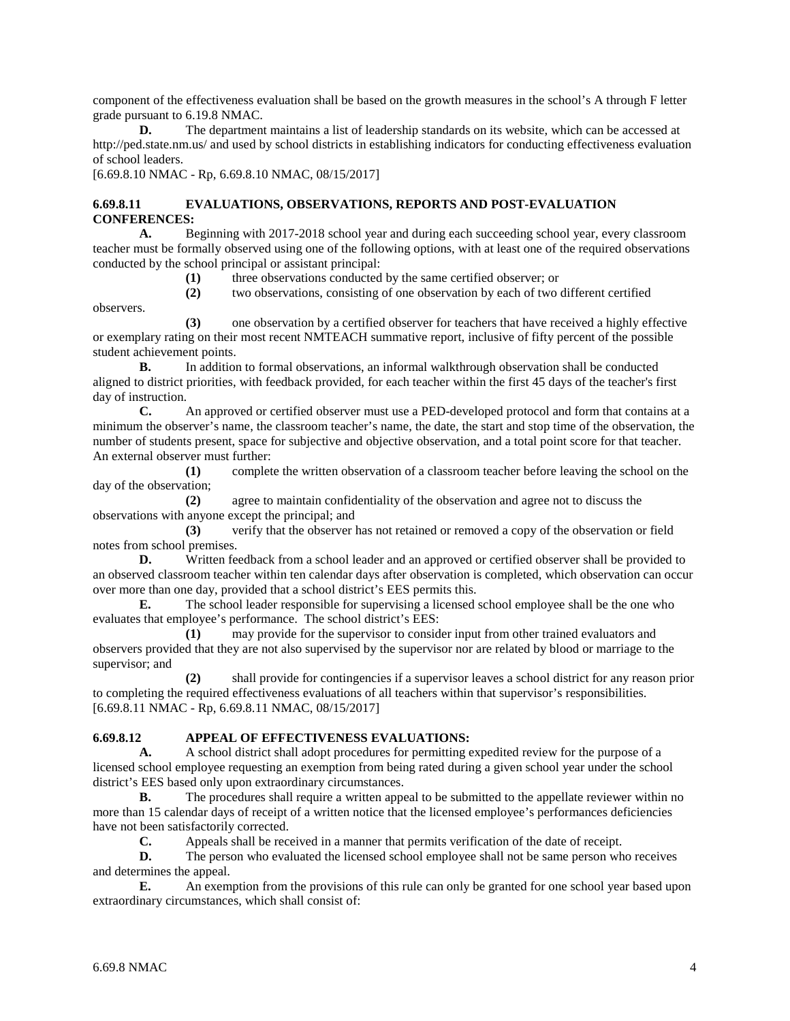component of the effectiveness evaluation shall be based on the growth measures in the school's A through F letter grade pursuant to 6.19.8 NMAC.

**D.** The department maintains a list of leadership standards on its website, which can be accessed at http://ped.state.nm.us/ and used by school districts in establishing indicators for conducting effectiveness evaluation of school leaders.

[6.69.8.10 NMAC - Rp, 6.69.8.10 NMAC, 08/15/2017]

## **6.69.8.11 EVALUATIONS, OBSERVATIONS, REPORTS AND POST-EVALUATION CONFERENCES:**

**A.** Beginning with 2017-2018 school year and during each succeeding school year, every classroom teacher must be formally observed using one of the following options, with at least one of the required observations conducted by the school principal or assistant principal:

**(1)** three observations conducted by the same certified observer; or

**(2)** two observations, consisting of one observation by each of two different certified

**(3)** one observation by a certified observer for teachers that have received a highly effective or exemplary rating on their most recent NMTEACH summative report, inclusive of fifty percent of the possible student achievement points.

**B.** In addition to formal observations, an informal walkthrough observation shall be conducted aligned to district priorities, with feedback provided, for each teacher within the first 45 days of the teacher's first day of instruction.

**C.** An approved or certified observer must use a PED-developed protocol and form that contains at a minimum the observer's name, the classroom teacher's name, the date, the start and stop time of the observation, the number of students present, space for subjective and objective observation, and a total point score for that teacher. An external observer must further:

**(1)** complete the written observation of a classroom teacher before leaving the school on the day of the observation;

**(2)** agree to maintain confidentiality of the observation and agree not to discuss the observations with anyone except the principal; and

**(3)** verify that the observer has not retained or removed a copy of the observation or field notes from school premises.

**D.** Written feedback from a school leader and an approved or certified observer shall be provided to an observed classroom teacher within ten calendar days after observation is completed, which observation can occur over more than one day, provided that a school district's EES permits this.<br> **E.** The school leader responsible for supervising a licensed

**E.** The school leader responsible for supervising a licensed school employee shall be the one who evaluates that employee's performance. The school district's EES:

**(1)** may provide for the supervisor to consider input from other trained evaluators and observers provided that they are not also supervised by the supervisor nor are related by blood or marriage to the supervisor; and

**(2)** shall provide for contingencies if a supervisor leaves a school district for any reason prior to completing the required effectiveness evaluations of all teachers within that supervisor's responsibilities. [6.69.8.11 NMAC - Rp, 6.69.8.11 NMAC, 08/15/2017]

### **6.69.8.12 APPEAL OF EFFECTIVENESS EVALUATIONS:**

**A.** A school district shall adopt procedures for permitting expedited review for the purpose of a licensed school employee requesting an exemption from being rated during a given school year under the school district's EES based only upon extraordinary circumstances.

**B.** The procedures shall require a written appeal to be submitted to the appellate reviewer within no more than 15 calendar days of receipt of a written notice that the licensed employee's performances deficiencies have not been satisfactorily corrected.

**C.** Appeals shall be received in a manner that permits verification of the date of receipt.

**D.** The person who evaluated the licensed school employee shall not be same person who receives and determines the appeal.

**E.** An exemption from the provisions of this rule can only be granted for one school year based upon extraordinary circumstances, which shall consist of:

observers.